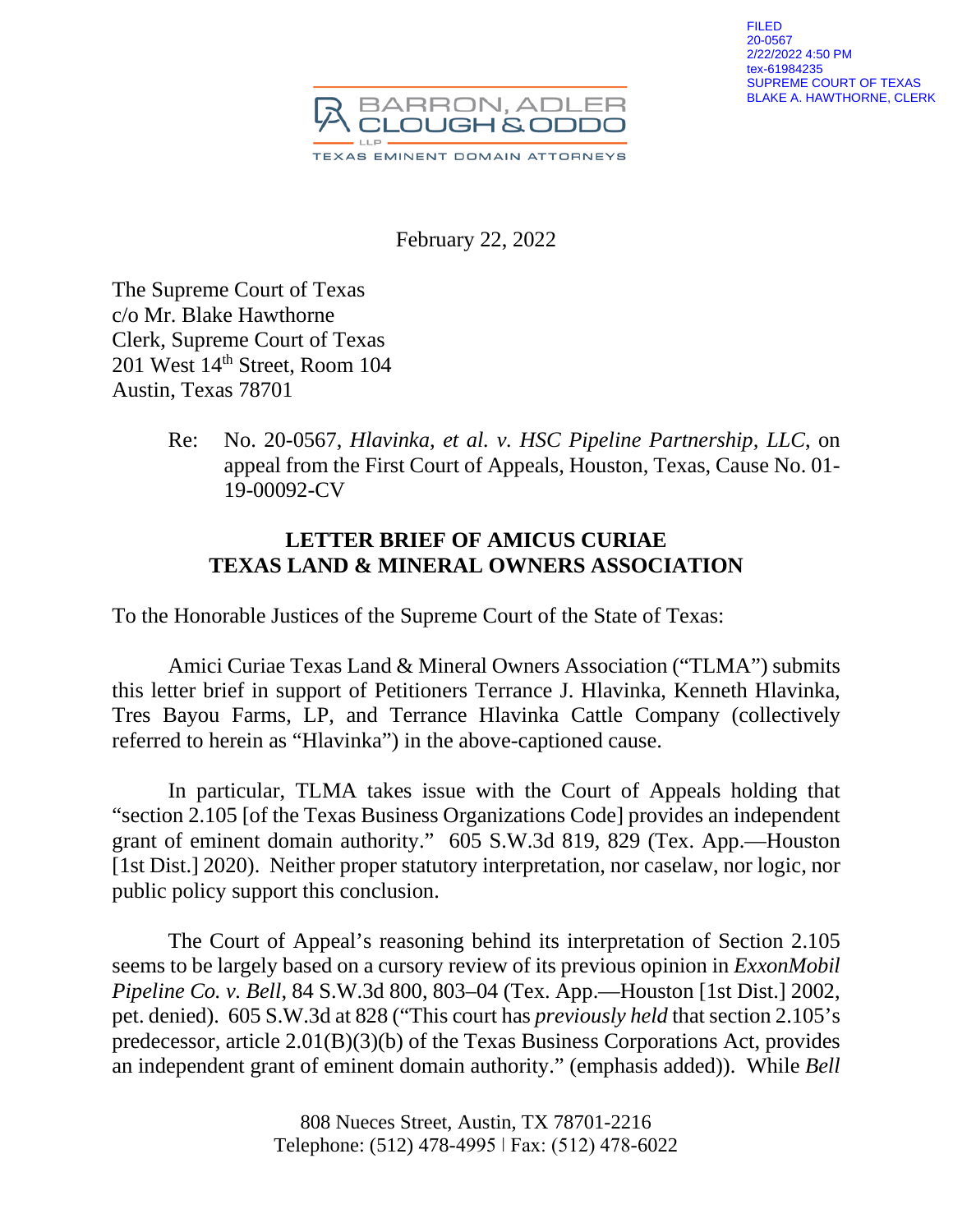

February 22, 2022

The Supreme Court of Texas c/o Mr. Blake Hawthorne Clerk, Supreme Court of Texas 201 West 14<sup>th</sup> Street, Room 104 Austin, Texas 78701

> Re: No. 20-0567, *Hlavinka, et al. v. HSC Pipeline Partnership, LLC*, on appeal from the First Court of Appeals, Houston, Texas, Cause No. 01- 19-00092-CV

# **LETTER BRIEF OF AMICUS CURIAE TEXAS LAND & MINERAL OWNERS ASSOCIATION**

To the Honorable Justices of the Supreme Court of the State of Texas:

Amici Curiae Texas Land & Mineral Owners Association ("TLMA") submits this letter brief in support of Petitioners Terrance J. Hlavinka, Kenneth Hlavinka, Tres Bayou Farms, LP, and Terrance Hlavinka Cattle Company (collectively referred to herein as "Hlavinka") in the above-captioned cause.

In particular, TLMA takes issue with the Court of Appeals holding that "section 2.105 [of the Texas Business Organizations Code] provides an independent grant of eminent domain authority." 605 S.W.3d 819, 829 (Tex. App.—Houston [1st Dist.] 2020). Neither proper statutory interpretation, nor caselaw, nor logic, nor public policy support this conclusion.

The Court of Appeal's reasoning behind its interpretation of Section 2.105 seems to be largely based on a cursory review of its previous opinion in *ExxonMobil Pipeline Co. v. Bell*, 84 S.W.3d 800, 803–04 (Tex. App.—Houston [1st Dist.] 2002, pet. denied). 605 S.W.3d at 828 ("This court has *previously held* that section 2.105's predecessor, article 2.01(B)(3)(b) of the Texas Business Corporations Act, provides an independent grant of eminent domain authority." (emphasis added)). While *Bell*

> 808 Nueces Street, Austin, TX 78701-2216 Telephone: (512) 478-4995 ǀ Fax: (512) 478-6022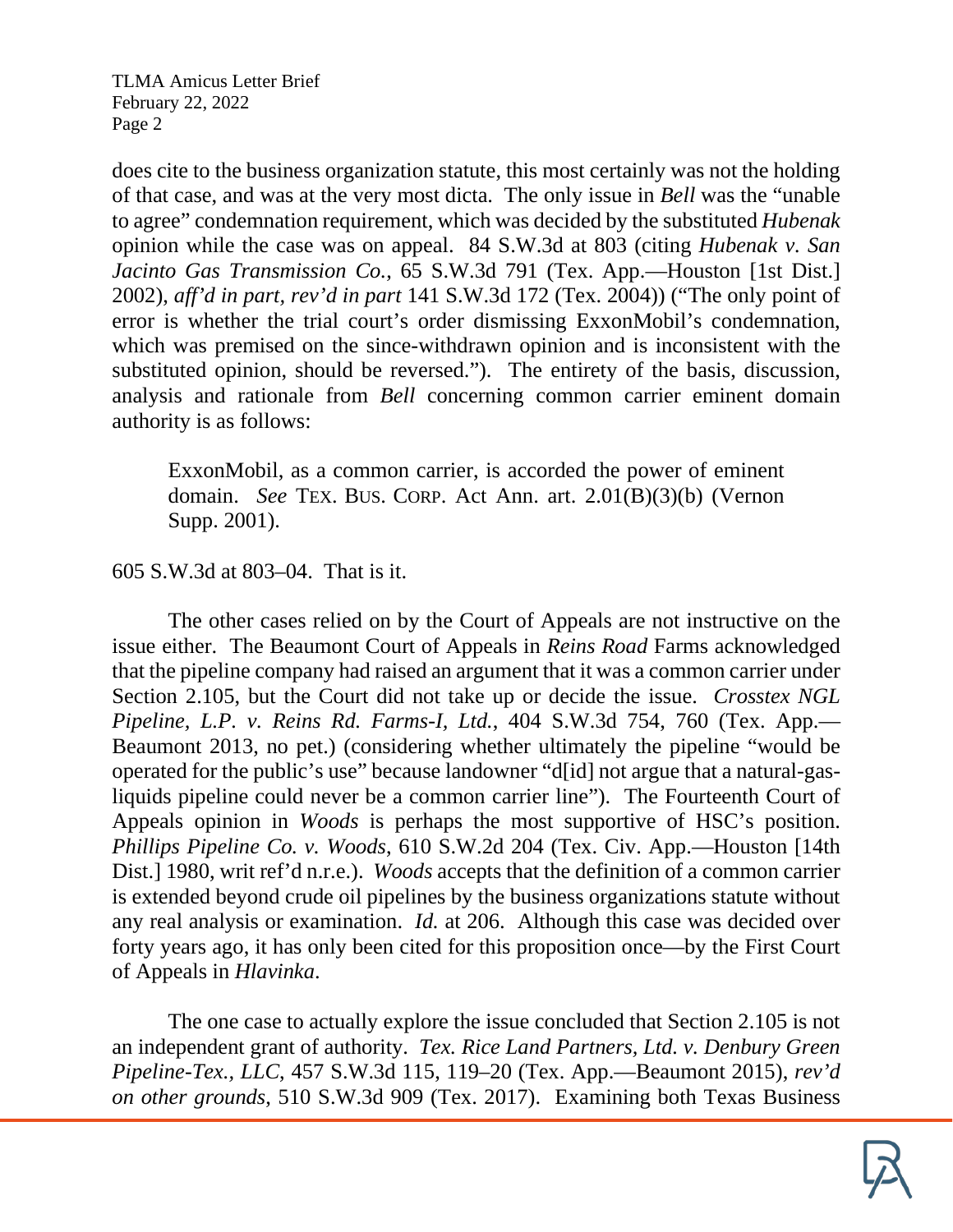does cite to the business organization statute, this most certainly was not the holding of that case, and was at the very most dicta. The only issue in *Bell* was the "unable to agree" condemnation requirement, which was decided by the substituted *Hubenak* opinion while the case was on appeal. 84 S.W.3d at 803 (citing *Hubenak v. San Jacinto Gas Transmission Co.*, 65 S.W.3d 791 (Tex. App.—Houston [1st Dist.] 2002), *aff'd in part, rev'd in part* 141 S.W.3d 172 (Tex. 2004)) ("The only point of error is whether the trial court's order dismissing ExxonMobil's condemnation, which was premised on the since-withdrawn opinion and is inconsistent with the substituted opinion, should be reversed."). The entirety of the basis, discussion, analysis and rationale from *Bell* concerning common carrier eminent domain authority is as follows:

ExxonMobil, as a common carrier, is accorded the power of eminent domain. *See* TEX. BUS. CORP. Act Ann. art. 2.01(B)(3)(b) (Vernon Supp. 2001).

605 S.W.3d at 803–04. That is it.

The other cases relied on by the Court of Appeals are not instructive on the issue either. The Beaumont Court of Appeals in *Reins Road* Farms acknowledged that the pipeline company had raised an argument that it was a common carrier under Section 2.105, but the Court did not take up or decide the issue. *Crosstex NGL Pipeline, L.P. v. Reins Rd. Farms-I, Ltd.*, 404 S.W.3d 754, 760 (Tex. App.— Beaumont 2013, no pet.) (considering whether ultimately the pipeline "would be operated for the public's use" because landowner "d[id] not argue that a natural-gasliquids pipeline could never be a common carrier line"). The Fourteenth Court of Appeals opinion in *Woods* is perhaps the most supportive of HSC's position. *Phillips Pipeline Co. v. Woods*, 610 S.W.2d 204 (Tex. Civ. App.—Houston [14th Dist.] 1980, writ ref'd n.r.e.). *Woods* accepts that the definition of a common carrier is extended beyond crude oil pipelines by the business organizations statute without any real analysis or examination. *Id.* at 206. Although this case was decided over forty years ago, it has only been cited for this proposition once—by the First Court of Appeals in *Hlavinka*.

The one case to actually explore the issue concluded that Section 2.105 is not an independent grant of authority. *Tex. Rice Land Partners, Ltd. v. Denbury Green Pipeline-Tex., LLC*, 457 S.W.3d 115, 119–20 (Tex. App.—Beaumont 2015), *rev'd on other grounds*, 510 S.W.3d 909 (Tex. 2017). Examining both Texas Business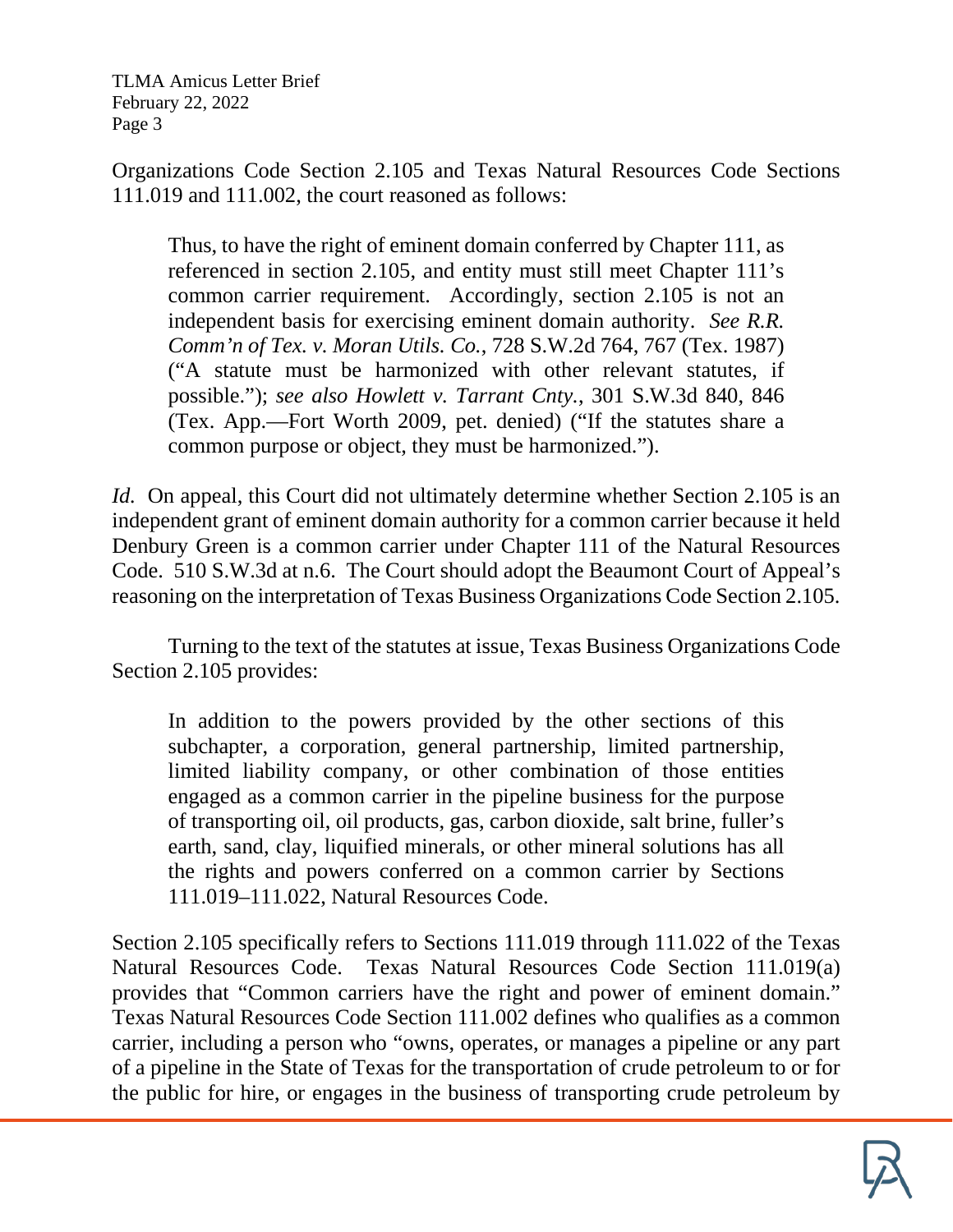Organizations Code Section 2.105 and Texas Natural Resources Code Sections 111.019 and 111.002, the court reasoned as follows:

Thus, to have the right of eminent domain conferred by Chapter 111, as referenced in section 2.105, and entity must still meet Chapter 111's common carrier requirement. Accordingly, section 2.105 is not an independent basis for exercising eminent domain authority. *See R.R. Comm'n of Tex. v. Moran Utils. Co.*, 728 S.W.2d 764, 767 (Tex. 1987) ("A statute must be harmonized with other relevant statutes, if possible."); *see also Howlett v. Tarrant Cnty.*, 301 S.W.3d 840, 846 (Tex. App.—Fort Worth 2009, pet. denied) ("If the statutes share a common purpose or object, they must be harmonized.").

*Id.* On appeal, this Court did not ultimately determine whether Section 2.105 is an independent grant of eminent domain authority for a common carrier because it held Denbury Green is a common carrier under Chapter 111 of the Natural Resources Code. 510 S.W.3d at n.6. The Court should adopt the Beaumont Court of Appeal's reasoning on the interpretation of Texas Business Organizations Code Section 2.105.

Turning to the text of the statutes at issue, Texas Business Organizations Code Section 2.105 provides:

In addition to the powers provided by the other sections of this subchapter, a corporation, general partnership, limited partnership, limited liability company, or other combination of those entities engaged as a common carrier in the pipeline business for the purpose of transporting oil, oil products, gas, carbon dioxide, salt brine, fuller's earth, sand, clay, liquified minerals, or other mineral solutions has all the rights and powers conferred on a common carrier by Sections 111.019–111.022, Natural Resources Code.

Section 2.105 specifically refers to Sections 111.019 through 111.022 of the Texas Natural Resources Code. Texas Natural Resources Code Section 111.019(a) provides that "Common carriers have the right and power of eminent domain." Texas Natural Resources Code Section 111.002 defines who qualifies as a common carrier, including a person who "owns, operates, or manages a pipeline or any part of a pipeline in the State of Texas for the transportation of crude petroleum to or for the public for hire, or engages in the business of transporting crude petroleum by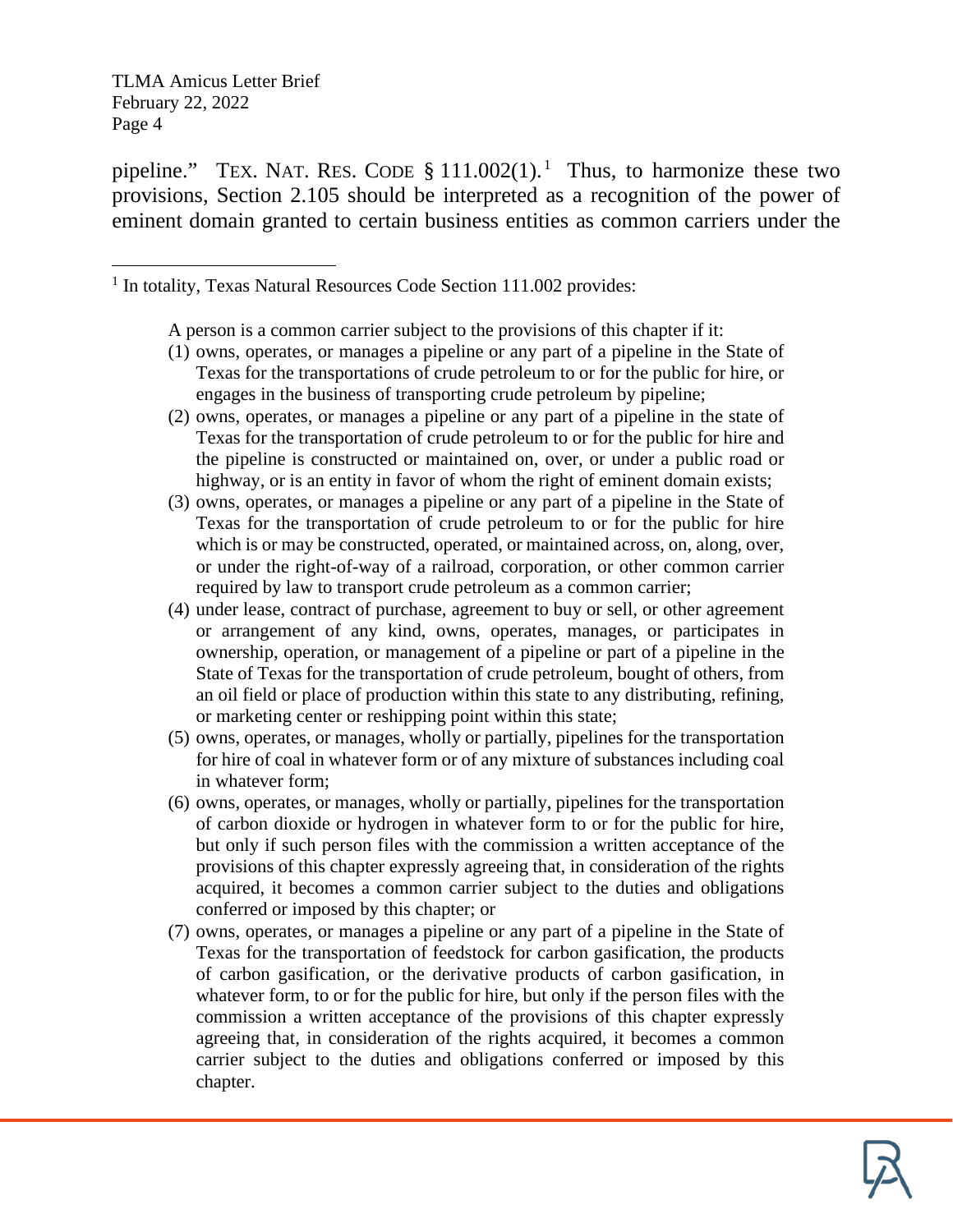pipeline." TEX. NAT. RES. CODE  $\S 111.002(1)$  $\S 111.002(1)$  $\S 111.002(1)$ .<sup>1</sup> Thus, to harmonize these two provisions, Section 2.105 should be interpreted as a recognition of the power of eminent domain granted to certain business entities as common carriers under the

<span id="page-3-0"></span><sup>1</sup> In totality, Texas Natural Resources Code Section 111.002 provides:

A person is a common carrier subject to the provisions of this chapter if it:

- (1) owns, operates, or manages a pipeline or any part of a pipeline in the State of Texas for the transportations of crude petroleum to or for the public for hire, or engages in the business of transporting crude petroleum by pipeline;
- (2) owns, operates, or manages a pipeline or any part of a pipeline in the state of Texas for the transportation of crude petroleum to or for the public for hire and the pipeline is constructed or maintained on, over, or under a public road or highway, or is an entity in favor of whom the right of eminent domain exists;
- (3) owns, operates, or manages a pipeline or any part of a pipeline in the State of Texas for the transportation of crude petroleum to or for the public for hire which is or may be constructed, operated, or maintained across, on, along, over, or under the right-of-way of a railroad, corporation, or other common carrier required by law to transport crude petroleum as a common carrier;
- (4) under lease, contract of purchase, agreement to buy or sell, or other agreement or arrangement of any kind, owns, operates, manages, or participates in ownership, operation, or management of a pipeline or part of a pipeline in the State of Texas for the transportation of crude petroleum, bought of others, from an oil field or place of production within this state to any distributing, refining, or marketing center or reshipping point within this state;
- (5) owns, operates, or manages, wholly or partially, pipelines for the transportation for hire of coal in whatever form or of any mixture of substances including coal in whatever form;
- (6) owns, operates, or manages, wholly or partially, pipelines for the transportation of carbon dioxide or hydrogen in whatever form to or for the public for hire, but only if such person files with the commission a written acceptance of the provisions of this chapter expressly agreeing that, in consideration of the rights acquired, it becomes a common carrier subject to the duties and obligations conferred or imposed by this chapter; or
- (7) owns, operates, or manages a pipeline or any part of a pipeline in the State of Texas for the transportation of feedstock for carbon gasification, the products of carbon gasification, or the derivative products of carbon gasification, in whatever form, to or for the public for hire, but only if the person files with the commission a written acceptance of the provisions of this chapter expressly agreeing that, in consideration of the rights acquired, it becomes a common carrier subject to the duties and obligations conferred or imposed by this chapter.

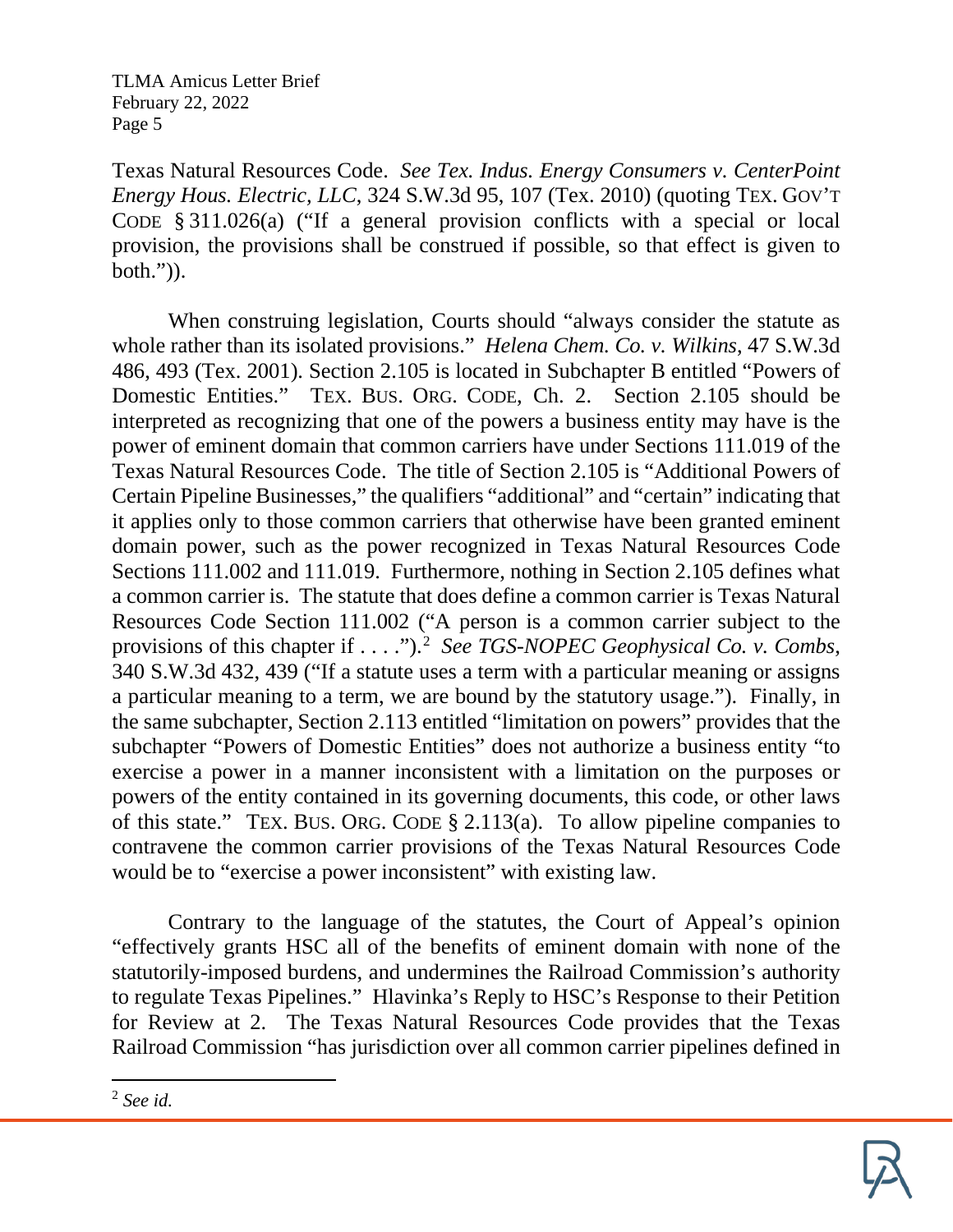Texas Natural Resources Code. *See Tex. Indus. Energy Consumers v. CenterPoint Energy Hous. Electric, LLC*, 324 S.W.3d 95, 107 (Tex. 2010) (quoting TEX. GOV'T CODE § 311.026(a) ("If a general provision conflicts with a special or local provision, the provisions shall be construed if possible, so that effect is given to both.")).

When construing legislation, Courts should "always consider the statute as whole rather than its isolated provisions." *Helena Chem. Co. v. Wilkins*, 47 S.W.3d 486, 493 (Tex. 2001). Section 2.105 is located in Subchapter B entitled "Powers of Domestic Entities." TEX. BUS. ORG. CODE, Ch. 2. Section 2.105 should be interpreted as recognizing that one of the powers a business entity may have is the power of eminent domain that common carriers have under Sections 111.019 of the Texas Natural Resources Code. The title of Section 2.105 is "Additional Powers of Certain Pipeline Businesses," the qualifiers "additional" and "certain" indicating that it applies only to those common carriers that otherwise have been granted eminent domain power, such as the power recognized in Texas Natural Resources Code Sections 111.002 and 111.019. Furthermore, nothing in Section 2.105 defines what a common carrier is. The statute that does define a common carrier is Texas Natural Resources Code Section 111.002 ("A person is a common carrier subject to the provisions of this chapter if . . . .").<sup>[2](#page-4-0)</sup> See TGS-NOPEC Geophysical Co. v. Combs, 340 S.W.3d 432, 439 ("If a statute uses a term with a particular meaning or assigns a particular meaning to a term, we are bound by the statutory usage."). Finally, in the same subchapter, Section 2.113 entitled "limitation on powers" provides that the subchapter "Powers of Domestic Entities" does not authorize a business entity "to exercise a power in a manner inconsistent with a limitation on the purposes or powers of the entity contained in its governing documents, this code, or other laws of this state." TEX. BUS. ORG. CODE § 2.113(a). To allow pipeline companies to contravene the common carrier provisions of the Texas Natural Resources Code would be to "exercise a power inconsistent" with existing law.

Contrary to the language of the statutes, the Court of Appeal's opinion "effectively grants HSC all of the benefits of eminent domain with none of the statutorily-imposed burdens, and undermines the Railroad Commission's authority to regulate Texas Pipelines." Hlavinka's Reply to HSC's Response to their Petition for Review at 2. The Texas Natural Resources Code provides that the Texas Railroad Commission "has jurisdiction over all common carrier pipelines defined in



<span id="page-4-0"></span><sup>2</sup> *See id.*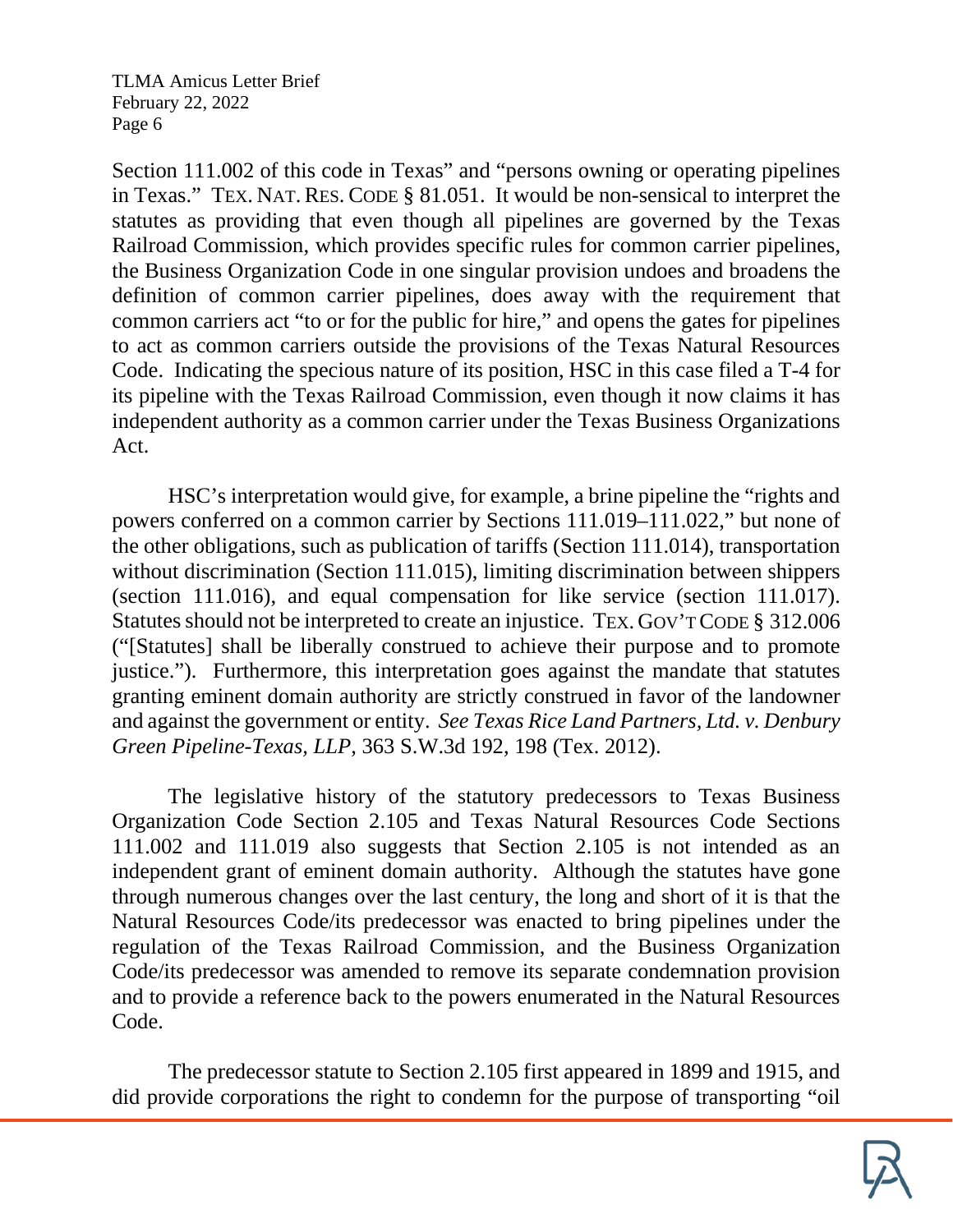Section 111.002 of this code in Texas" and "persons owning or operating pipelines in Texas." TEX. NAT. RES. CODE § 81.051. It would be non-sensical to interpret the statutes as providing that even though all pipelines are governed by the Texas Railroad Commission, which provides specific rules for common carrier pipelines, the Business Organization Code in one singular provision undoes and broadens the definition of common carrier pipelines, does away with the requirement that common carriers act "to or for the public for hire," and opens the gates for pipelines to act as common carriers outside the provisions of the Texas Natural Resources Code. Indicating the specious nature of its position, HSC in this case filed a T-4 for its pipeline with the Texas Railroad Commission, even though it now claims it has independent authority as a common carrier under the Texas Business Organizations Act.

HSC's interpretation would give, for example, a brine pipeline the "rights and powers conferred on a common carrier by Sections 111.019–111.022," but none of the other obligations, such as publication of tariffs (Section 111.014), transportation without discrimination (Section 111.015), limiting discrimination between shippers (section 111.016), and equal compensation for like service (section 111.017). Statutes should not be interpreted to create an injustice. TEX. GOV'T CODE § 312.006 ("[Statutes] shall be liberally construed to achieve their purpose and to promote justice."). Furthermore, this interpretation goes against the mandate that statutes granting eminent domain authority are strictly construed in favor of the landowner and against the government or entity. *See Texas Rice Land Partners, Ltd. v. Denbury Green Pipeline-Texas, LLP*, 363 S.W.3d 192, 198 (Tex. 2012).

The legislative history of the statutory predecessors to Texas Business Organization Code Section 2.105 and Texas Natural Resources Code Sections 111.002 and 111.019 also suggests that Section 2.105 is not intended as an independent grant of eminent domain authority. Although the statutes have gone through numerous changes over the last century, the long and short of it is that the Natural Resources Code/its predecessor was enacted to bring pipelines under the regulation of the Texas Railroad Commission, and the Business Organization Code/its predecessor was amended to remove its separate condemnation provision and to provide a reference back to the powers enumerated in the Natural Resources Code.

The predecessor statute to Section 2.105 first appeared in 1899 and 1915, and did provide corporations the right to condemn for the purpose of transporting "oil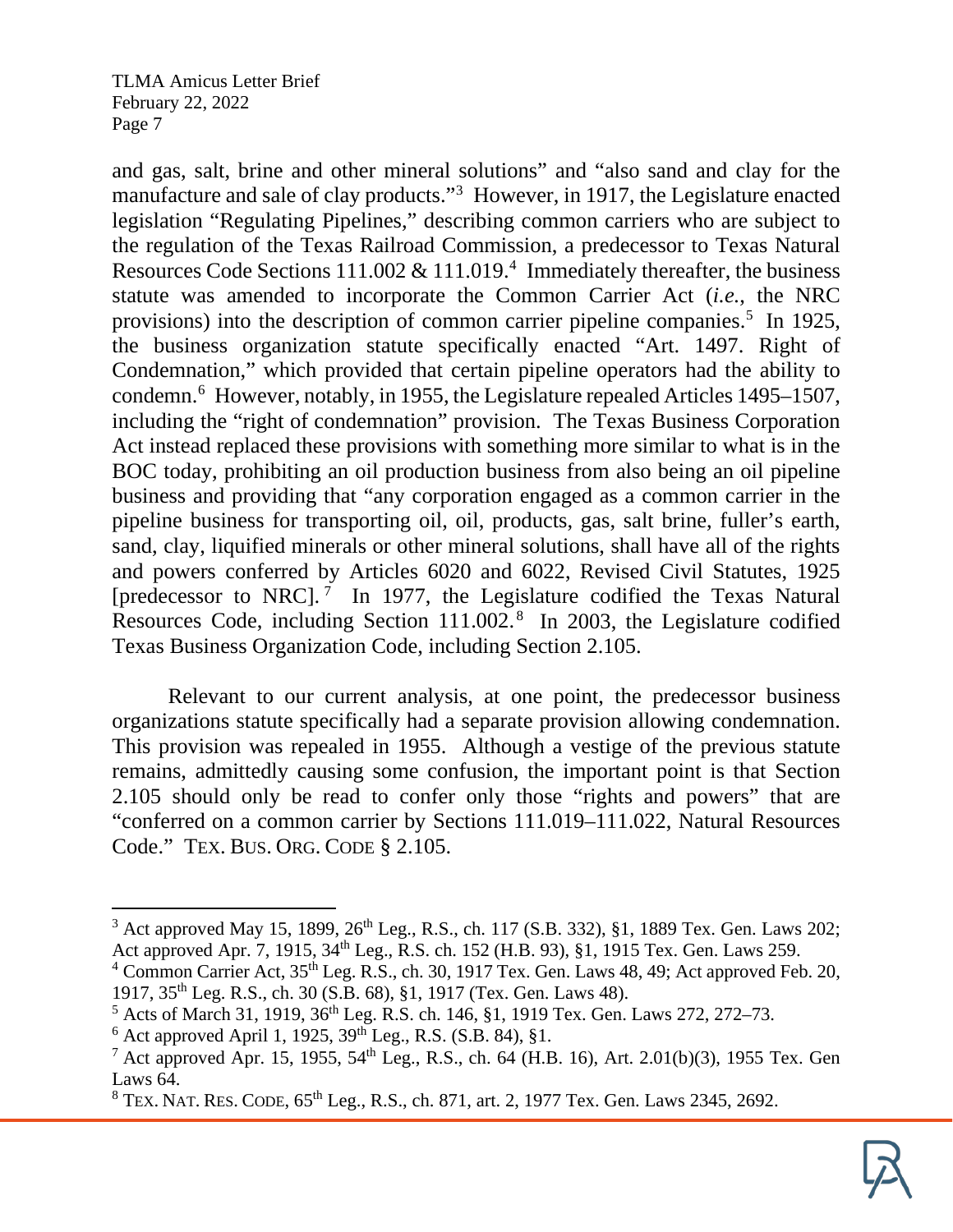and gas, salt, brine and other mineral solutions" and "also sand and clay for the manufacture and sale of clay products."<sup>[3](#page-6-0)</sup> However, in 1917, the Legislature enacted legislation "Regulating Pipelines," describing common carriers who are subject to the regulation of the Texas Railroad Commission, a predecessor to Texas Natural Resources Code Sections  $111.002 \& 111.019$ .<sup>4</sup> Immediately thereafter, the business statute was amended to incorporate the Common Carrier Act (*i.e.*, the NRC provisions) into the description of common carrier pipeline companies.<sup>[5](#page-6-2)</sup> In 1925, the business organization statute specifically enacted "Art. 1497. Right of Condemnation," which provided that certain pipeline operators had the ability to condemn.[6](#page-6-3) However, notably, in 1955, the Legislature repealed Articles 1495–1507, including the "right of condemnation" provision. The Texas Business Corporation Act instead replaced these provisions with something more similar to what is in the BOC today, prohibiting an oil production business from also being an oil pipeline business and providing that "any corporation engaged as a common carrier in the pipeline business for transporting oil, oil, products, gas, salt brine, fuller's earth, sand, clay, liquified minerals or other mineral solutions, shall have all of the rights and powers conferred by Articles 6020 and 6022, Revised Civil Statutes, 1925 [predecessor to NRC].<sup>[7](#page-6-4)</sup> In 1977, the Legislature codified the Texas Natural Resources Code, including Section 111.002. [8](#page-6-5) In 2003, the Legislature codified Texas Business Organization Code, including Section 2.105.

Relevant to our current analysis, at one point, the predecessor business organizations statute specifically had a separate provision allowing condemnation. This provision was repealed in 1955. Although a vestige of the previous statute remains, admittedly causing some confusion, the important point is that Section 2.105 should only be read to confer only those "rights and powers" that are "conferred on a common carrier by Sections 111.019–111.022, Natural Resources Code." TEX. BUS. ORG. CODE § 2.105.

<span id="page-6-0"></span> $3$  Act approved May 15, 1899,  $26^{th}$  Leg., R.S., ch. 117 (S.B. 332), §1, 1889 Tex. Gen. Laws 202; Act approved Apr. 7, 1915, 34<sup>th</sup> Leg., R.S. ch. 152 (H.B. 93), §1, 1915 Tex. Gen. Laws 259.

<span id="page-6-1"></span> $4$  Common Carrier Act,  $35<sup>th</sup>$  Leg. R.S., ch. 30, 1917 Tex. Gen. Laws 48, 49; Act approved Feb. 20, 1917, 35th Leg. R.S., ch. 30 (S.B. 68), §1, 1917 (Tex. Gen. Laws 48).

<span id="page-6-2"></span><sup>&</sup>lt;sup>5</sup> Acts of March 31, 1919, 36<sup>th</sup> Leg. R.S. ch. 146, §1, 1919 Tex. Gen. Laws 272, 272–73.

<span id="page-6-3"></span> $6$  Act approved April 1, 1925,  $39^{th}$  Leg., R.S. (S.B. 84), §1.

<span id="page-6-4"></span><sup>&</sup>lt;sup>7</sup> Act approved Apr. 15, 1955, 54<sup>th</sup> Leg., R.S., ch. 64 (H.B. 16), Art. 2.01(b)(3), 1955 Tex. Gen Laws 64.

<span id="page-6-5"></span><sup>&</sup>lt;sup>8</sup> TEX. NAT. RES. CODE, 65<sup>th</sup> Leg., R.S., ch. 871, art. 2, 1977 Tex. Gen. Laws 2345, 2692.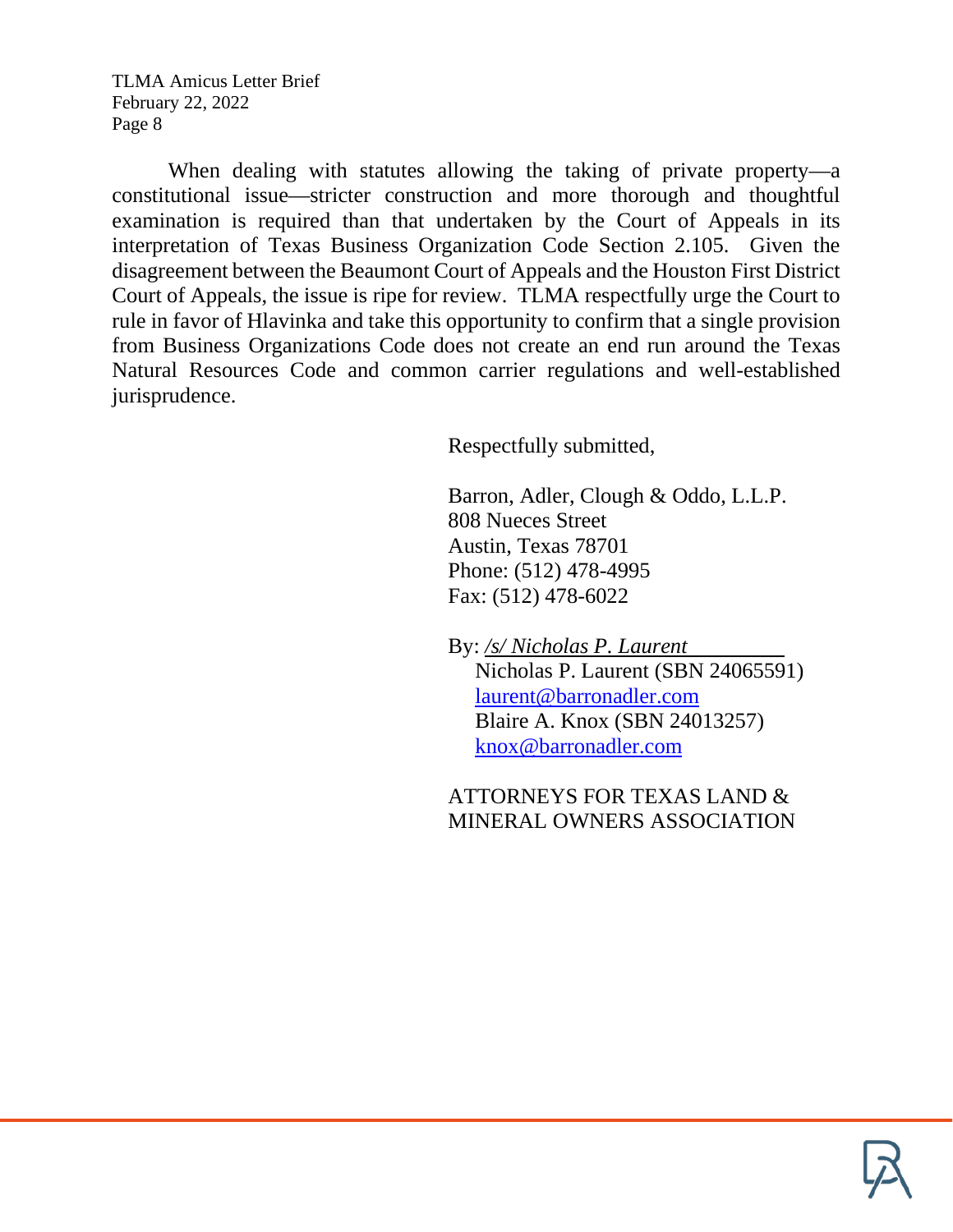When dealing with statutes allowing the taking of private property—a constitutional issue—stricter construction and more thorough and thoughtful examination is required than that undertaken by the Court of Appeals in its interpretation of Texas Business Organization Code Section 2.105. Given the disagreement between the Beaumont Court of Appeals and the Houston First District Court of Appeals, the issue is ripe for review. TLMA respectfully urge the Court to rule in favor of Hlavinka and take this opportunity to confirm that a single provision from Business Organizations Code does not create an end run around the Texas Natural Resources Code and common carrier regulations and well-established jurisprudence.

Respectfully submitted,

Barron, Adler, Clough & Oddo, L.L.P. 808 Nueces Street Austin, Texas 78701 Phone: (512) 478-4995 Fax: (512) 478-6022

By: */s/ Nicholas P. Laurent* Nicholas P. Laurent (SBN 24065591) [laurent@barronadler.com](mailto:laurent@barronadler.com) Blaire A. Knox (SBN 24013257) [knox@barronadler.com](mailto:knox@barronadler.com)

ATTORNEYS FOR TEXAS LAND & MINERAL OWNERS ASSOCIATION

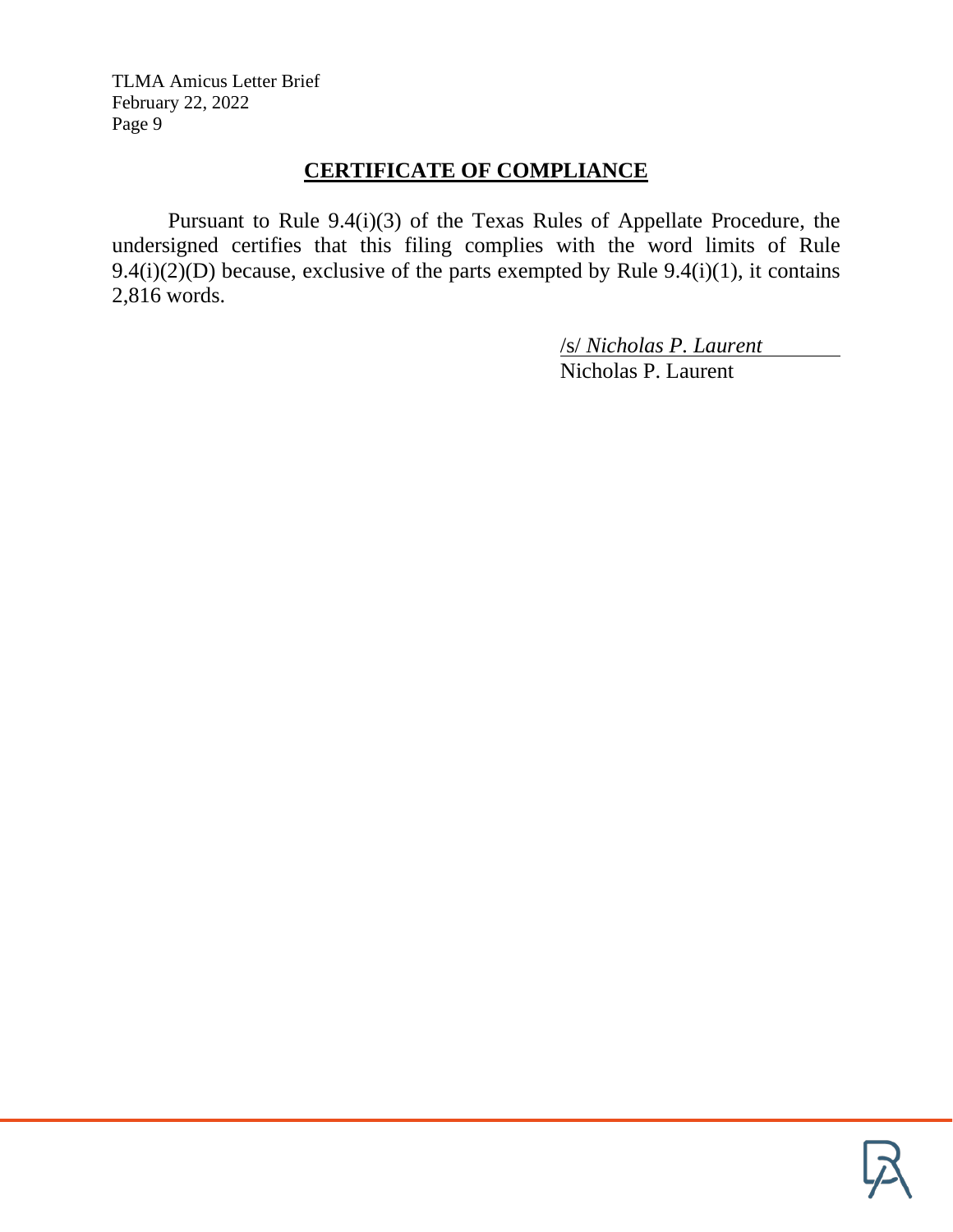# **CERTIFICATE OF COMPLIANCE**

Pursuant to Rule 9.4(i)(3) of the Texas Rules of Appellate Procedure, the undersigned certifies that this filing complies with the word limits of Rule 9.4(i)(2)(D) because, exclusive of the parts exempted by Rule 9.4(i)(1), it contains 2,816 words.

/s/ *Nicholas P. Laurent*

Nicholas P. Laurent

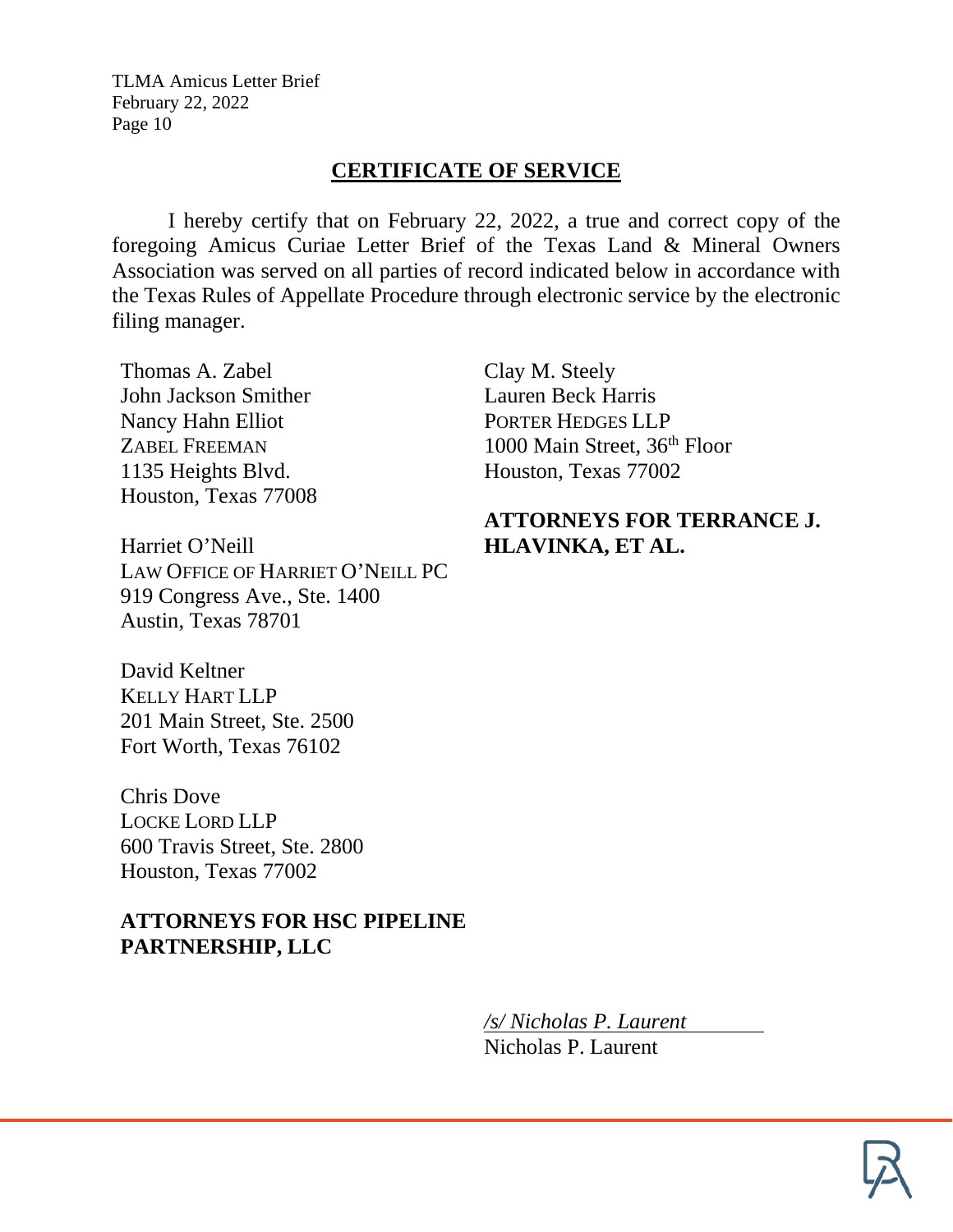## **CERTIFICATE OF SERVICE**

I hereby certify that on February 22, 2022, a true and correct copy of the foregoing Amicus Curiae Letter Brief of the Texas Land & Mineral Owners Association was served on all parties of record indicated below in accordance with the Texas Rules of Appellate Procedure through electronic service by the electronic filing manager.

Thomas A. Zabel John Jackson Smither Nancy Hahn Elliot ZABEL FREEMAN 1135 Heights Blvd. Houston, Texas 77008

Harriet O'Neill LAW OFFICE OF HARRIET O'NEILL PC 919 Congress Ave., Ste. 1400 Austin, Texas 78701

David Keltner KELLY HART LLP 201 Main Street, Ste. 2500 Fort Worth, Texas 76102

Chris Dove LOCKE LORD LLP 600 Travis Street, Ste. 2800 Houston, Texas 77002

# **ATTORNEYS FOR HSC PIPELINE PARTNERSHIP, LLC**

Clay M. Steely Lauren Beck Harris PORTER HEDGES LLP 1000 Main Street, 36th Floor Houston, Texas 77002

# **ATTORNEYS FOR TERRANCE J. HLAVINKA, ET AL.**

*/s/ Nicholas P. Laurent* Nicholas P. Laurent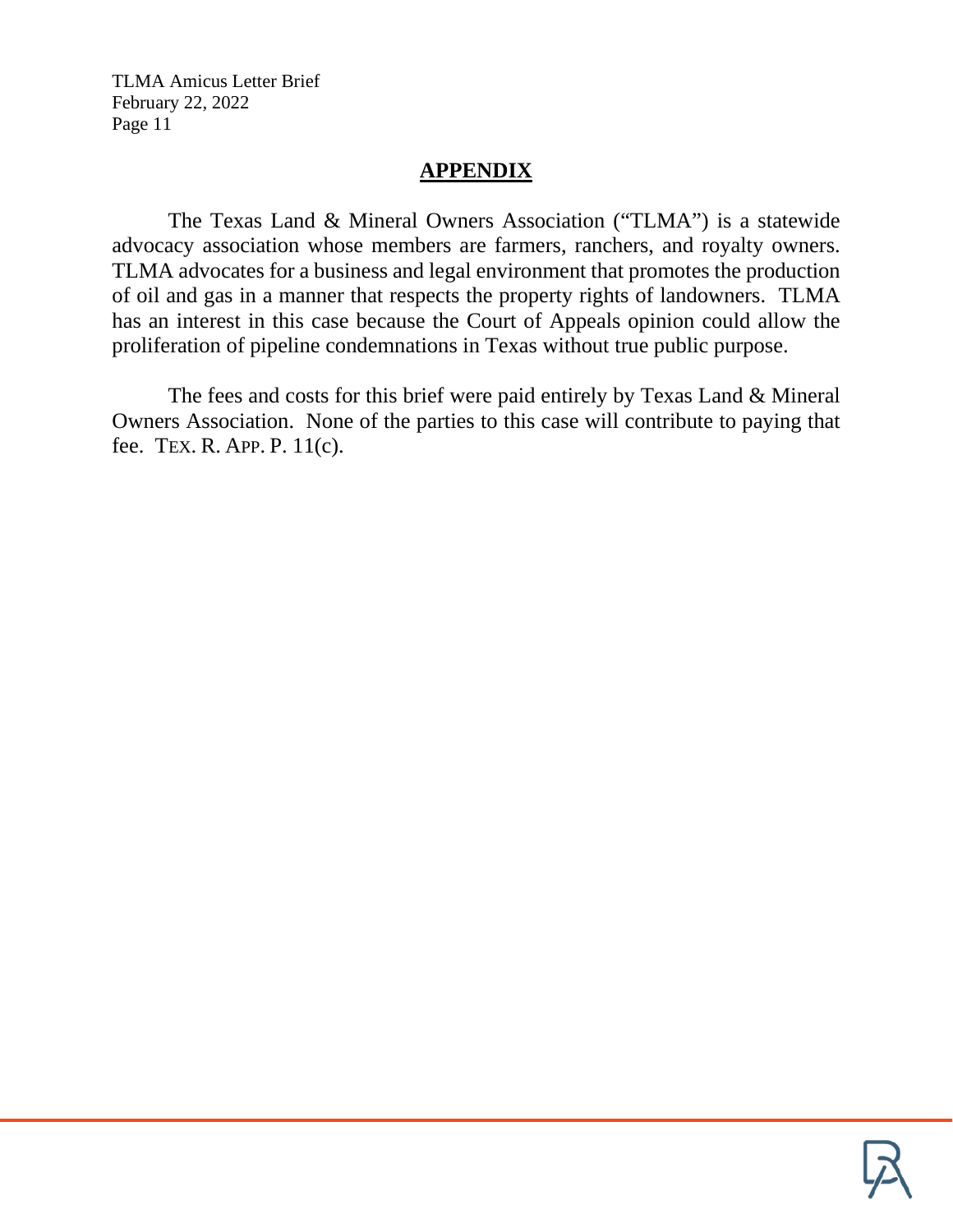## **APPENDIX**

The Texas Land & Mineral Owners Association ("TLMA") is a statewide advocacy association whose members are farmers, ranchers, and royalty owners. TLMA advocates for a business and legal environment that promotes the production of oil and gas in a manner that respects the property rights of landowners. TLMA has an interest in this case because the Court of Appeals opinion could allow the proliferation of pipeline condemnations in Texas without true public purpose.

The fees and costs for this brief were paid entirely by Texas Land & Mineral Owners Association. None of the parties to this case will contribute to paying that fee. TEX. R. APP. P. 11(c).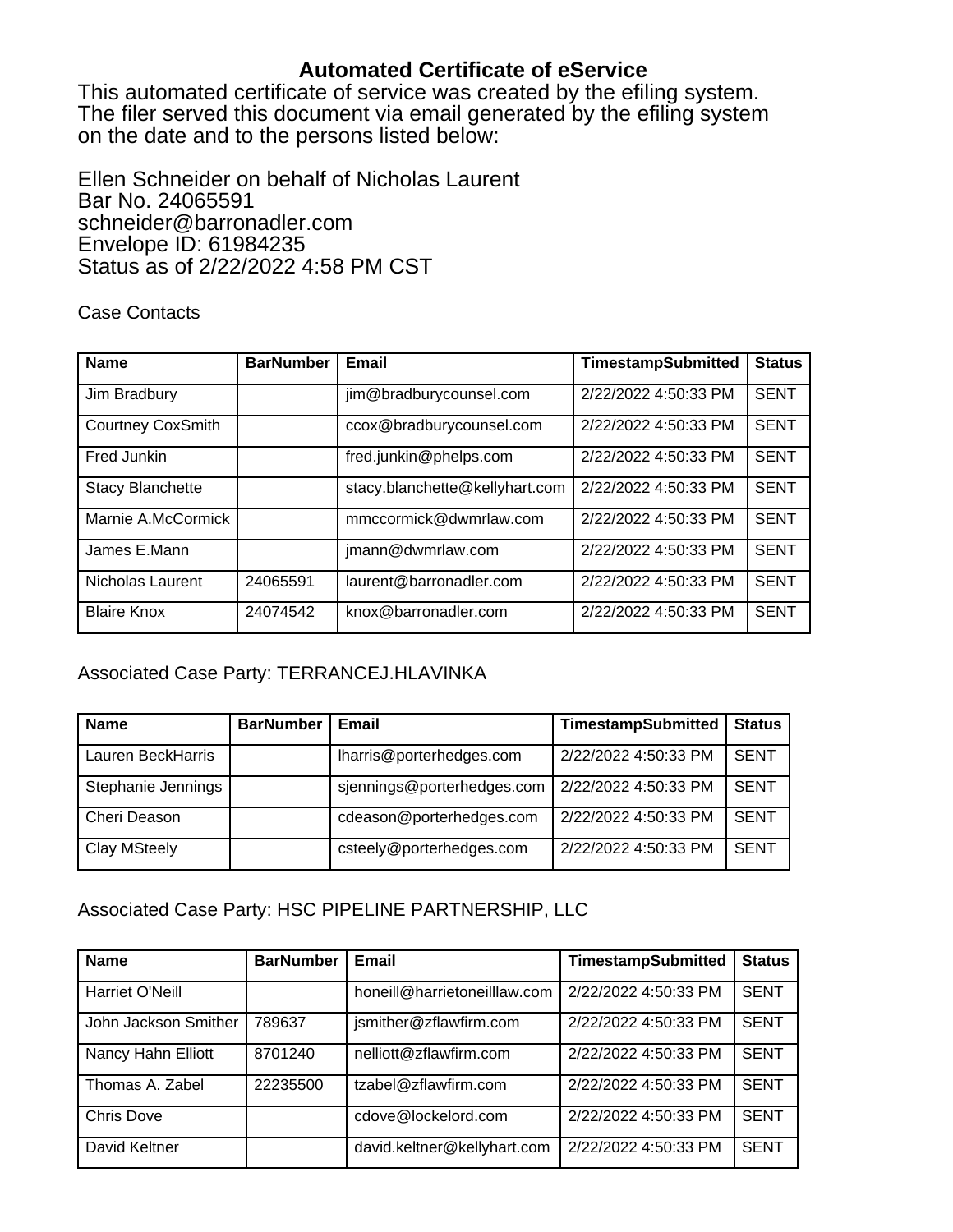#### **Automated Certificate of eService**

This automated certificate of service was created by the efiling system. The filer served this document via email generated by the efiling system on the date and to the persons listed below:

Ellen Schneider on behalf of Nicholas Laurent Bar No. 24065591 schneider@barronadler.com Envelope ID: 61984235 Status as of 2/22/2022 4:58 PM CST

#### Case Contacts

| <b>Name</b>              | <b>BarNumber</b> | Email                          | <b>TimestampSubmitted</b> | <b>Status</b> |
|--------------------------|------------------|--------------------------------|---------------------------|---------------|
| Jim Bradbury             |                  | jim@bradburycounsel.com        | 2/22/2022 4:50:33 PM      | <b>SENT</b>   |
| <b>Courtney CoxSmith</b> |                  | ccox@bradburycounsel.com       | 2/22/2022 4:50:33 PM      | <b>SENT</b>   |
| Fred Junkin              |                  | fred.junkin@phelps.com         | 2/22/2022 4:50:33 PM      | <b>SENT</b>   |
| <b>Stacy Blanchette</b>  |                  | stacy.blanchette@kellyhart.com | 2/22/2022 4:50:33 PM      | <b>SENT</b>   |
| Marnie A.McCormick       |                  | mmccormick@dwmrlaw.com         | 2/22/2022 4:50:33 PM      | <b>SENT</b>   |
| James E.Mann             |                  | imann@dwmrlaw.com              | 2/22/2022 4:50:33 PM      | <b>SENT</b>   |
| Nicholas Laurent         | 24065591         | laurent@barronadler.com        | 2/22/2022 4:50:33 PM      | <b>SENT</b>   |
| <b>Blaire Knox</b>       | 24074542         | knox@barronadler.com           | 2/22/2022 4:50:33 PM      | <b>SENT</b>   |

#### Associated Case Party: TERRANCEJ.HLAVINKA

| <b>Name</b>         | <b>BarNumber</b> | Email                      | <b>TimestampSubmitted</b> | <b>Status</b> |
|---------------------|------------------|----------------------------|---------------------------|---------------|
| Lauren BeckHarris   |                  | lharris@porterhedges.com   | 2/22/2022 4:50:33 PM      | <b>SENT</b>   |
| Stephanie Jennings  |                  | sjennings@porterhedges.com | 2/22/2022 4:50:33 PM      | <b>SENT</b>   |
| Cheri Deason        |                  | cdeason@porterhedges.com   | 2/22/2022 4:50:33 PM      | <b>SENT</b>   |
| <b>Clay MSteely</b> |                  | csteely@porterhedges.com   | 2/22/2022 4:50:33 PM      | <b>SENT</b>   |

#### Associated Case Party: HSC PIPELINE PARTNERSHIP, LLC

| <b>Name</b>          | <b>BarNumber</b> | Email                        | <b>TimestampSubmitted</b> | <b>Status</b> |
|----------------------|------------------|------------------------------|---------------------------|---------------|
| Harriet O'Neill      |                  | honeill@harrietoneilllaw.com | 2/22/2022 4:50:33 PM      | <b>SENT</b>   |
| John Jackson Smither | 789637           | jsmither@zflawfirm.com       | 2/22/2022 4:50:33 PM      | <b>SENT</b>   |
| Nancy Hahn Elliott   | 8701240          | nelliott@zflawfirm.com       | 2/22/2022 4:50:33 PM      | <b>SENT</b>   |
| Thomas A. Zabel      | 22235500         | tzabel@zflawfirm.com         | 2/22/2022 4:50:33 PM      | <b>SENT</b>   |
| <b>Chris Dove</b>    |                  | cdove@lockelord.com          | 2/22/2022 4:50:33 PM      | <b>SENT</b>   |
| David Keltner        |                  | david.keltner@kellyhart.com  | 2/22/2022 4:50:33 PM      | <b>SENT</b>   |